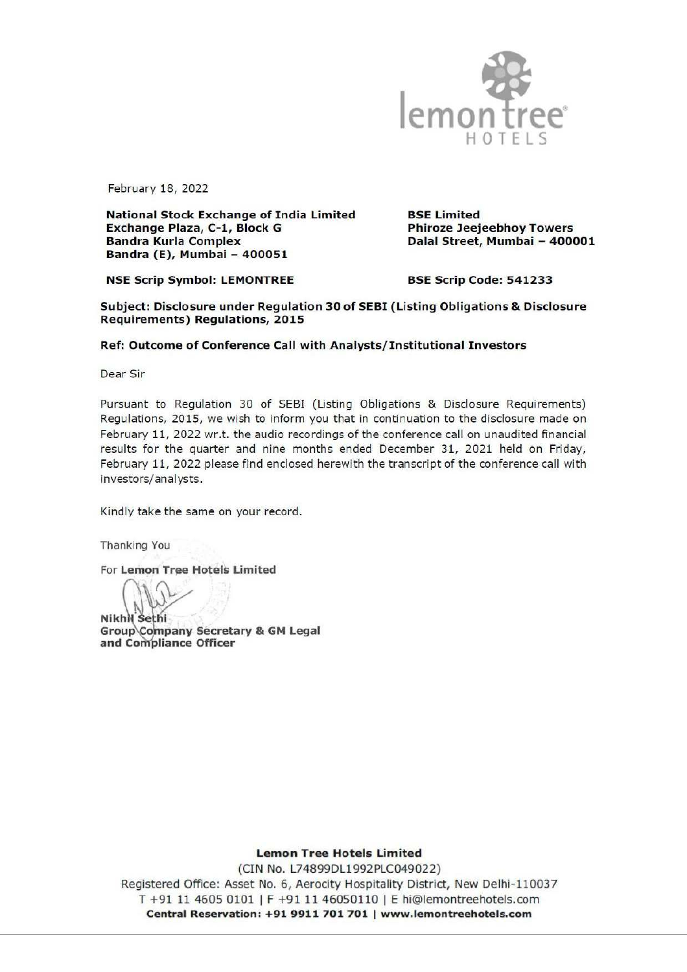

February 18, 2022

National Stock Exchange of India Limited BSE Limited Exchange Plaza, C-1, Block G Phiroze Jeejeebhoy Towers Bandra Kurla Complex Dalal Street, Mumbai — 400001 Bandra (E), Mumbai — 400051

NSE Scrip Symbol: LEMONTREE BSE Scrip Code: 541233

Subject: Disclosure under Regulation 30 of SEBI (Listing Obligations & Disclosure Requirements) Regulations, 2015

## Ref: Outcome of Conference Call with Analysts/ Institutional Investors

Dear Sir

Pursuant to Regulation 30 of SEBI (Listing Obligations & Disclosure Requirements) Regulations, 2015, we wish to inform you that in continuation to the disclosure made on February 11, 2022 wr.t. the audio recordings of the conference call on unaudited financial results for the quarter and nine months ended December 31, 2021 held on Friday, February 11, 2022 please find enclosed herewith the transcript of the conference call with investors/analysts. Frances (1, 7, 222)<br>
Frances (1, 7, 222)<br>
Frances (1, 2022)<br>
The Communication of Figure 1, 2022)<br>
The Communication of Carliston of Figure 1, 10 TE L. 5<br>
Each material (1, 7 Number 2, 4 By American contribute the Carlist

Kindly take the same on your record.

Thanking You

For Lemon Tree Hotels Limited

 $\mathcal{W}$ 

**NikhN** Sethi Group\Company Secretary & GM Legal and Compliance Officer

Lemon Tree Hotels Limited

(CIN No. L74899DL1992PLC049022) Registered Office: Asset No. 6, Aerocity Hospitality District, New Delhi-110037 T +91 11 4605 0101 | F +91 11 46050110 | E hi@lemontreehotels.com Central Reservation: +91 9911 701 701 | www.lemontreehotels.com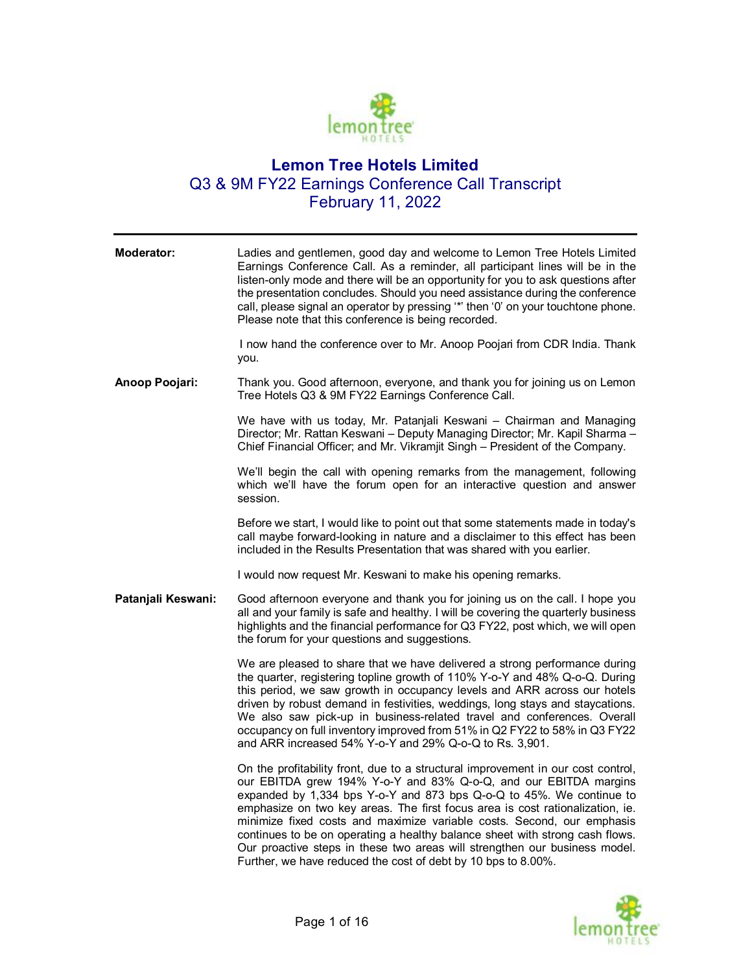

## **Lemon Tree Hotels Limited** Q3 & 9M FY22 Earnings Conference Call Transcript February 11, 2022

| Moderator:         | Ladies and gentlemen, good day and welcome to Lemon Tree Hotels Limited<br>Earnings Conference Call. As a reminder, all participant lines will be in the<br>listen-only mode and there will be an opportunity for you to ask questions after<br>the presentation concludes. Should you need assistance during the conference<br>call, please signal an operator by pressing "*' then '0' on your touchtone phone.<br>Please note that this conference is being recorded.                                                                                                                                               |
|--------------------|------------------------------------------------------------------------------------------------------------------------------------------------------------------------------------------------------------------------------------------------------------------------------------------------------------------------------------------------------------------------------------------------------------------------------------------------------------------------------------------------------------------------------------------------------------------------------------------------------------------------|
|                    | I now hand the conference over to Mr. Anoop Poojari from CDR India. Thank<br>you.                                                                                                                                                                                                                                                                                                                                                                                                                                                                                                                                      |
| Anoop Poojari:     | Thank you. Good afternoon, everyone, and thank you for joining us on Lemon<br>Tree Hotels Q3 & 9M FY22 Earnings Conference Call.                                                                                                                                                                                                                                                                                                                                                                                                                                                                                       |
|                    | We have with us today, Mr. Patanjali Keswani - Chairman and Managing<br>Director; Mr. Rattan Keswani - Deputy Managing Director; Mr. Kapil Sharma -<br>Chief Financial Officer; and Mr. Vikramjit Singh - President of the Company.                                                                                                                                                                                                                                                                                                                                                                                    |
|                    | We'll begin the call with opening remarks from the management, following<br>which we'll have the forum open for an interactive question and answer<br>session.                                                                                                                                                                                                                                                                                                                                                                                                                                                         |
|                    | Before we start, I would like to point out that some statements made in today's<br>call maybe forward-looking in nature and a disclaimer to this effect has been<br>included in the Results Presentation that was shared with you earlier.                                                                                                                                                                                                                                                                                                                                                                             |
|                    | I would now request Mr. Keswani to make his opening remarks.                                                                                                                                                                                                                                                                                                                                                                                                                                                                                                                                                           |
| Patanjali Keswani: | Good afternoon everyone and thank you for joining us on the call. I hope you<br>all and your family is safe and healthy. I will be covering the quarterly business<br>highlights and the financial performance for Q3 FY22, post which, we will open<br>the forum for your questions and suggestions.                                                                                                                                                                                                                                                                                                                  |
|                    | We are pleased to share that we have delivered a strong performance during<br>the quarter, registering topline growth of 110% Y-o-Y and 48% Q-o-Q. During<br>this period, we saw growth in occupancy levels and ARR across our hotels<br>driven by robust demand in festivities, weddings, long stays and staycations.<br>We also saw pick-up in business-related travel and conferences. Overall<br>occupancy on full inventory improved from 51% in Q2 FY22 to 58% in Q3 FY22<br>and ARR increased 54% Y-o-Y and 29% Q-o-Q to Rs. 3,901.                                                                             |
|                    | On the profitability front, due to a structural improvement in our cost control,<br>our EBITDA grew 194% Y-o-Y and 83% Q-o-Q, and our EBITDA margins<br>expanded by 1,334 bps Y-o-Y and 873 bps Q-o-Q to 45%. We continue to<br>emphasize on two key areas. The first focus area is cost rationalization, ie.<br>minimize fixed costs and maximize variable costs. Second, our emphasis<br>continues to be on operating a healthy balance sheet with strong cash flows.<br>Our proactive steps in these two areas will strengthen our business model.<br>Further, we have reduced the cost of debt by 10 bps to 8.00%. |

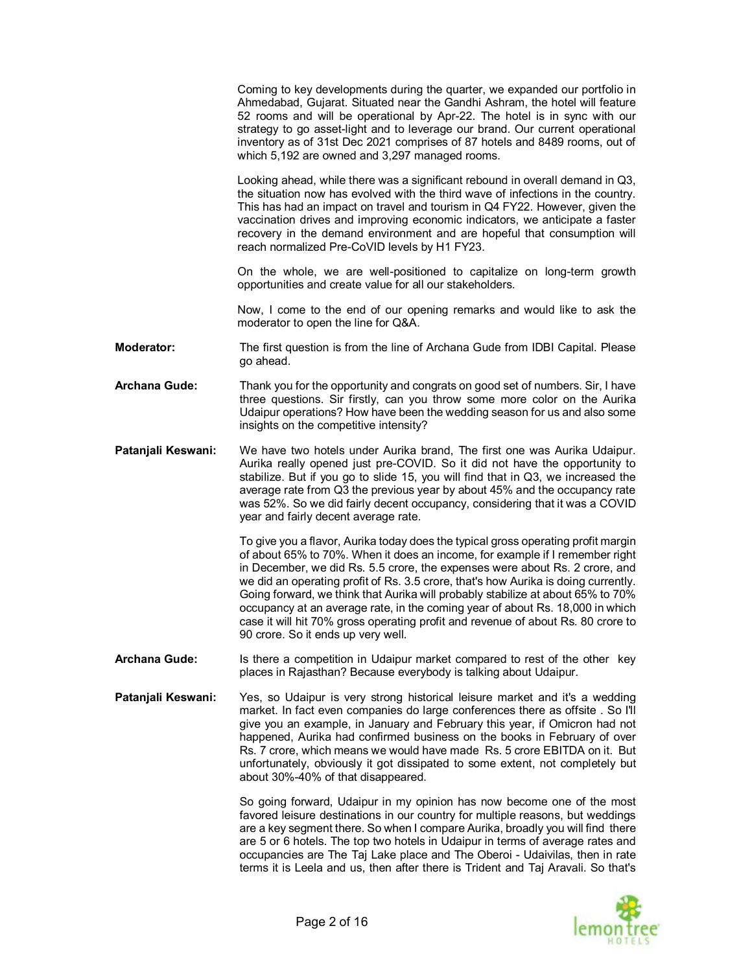Ahmedabad, Gujarat. Situated near the Gandhi Ashram, the hotel will feature 52 rooms and will be operational by Apr-22. The hotel is in sync with our strategy to go asset-light and to leverage our brand. Our current operational inventory as of 31st Dec 2021 comprises of 87 hotels and 8489 rooms, out of which 5,192 are owned and 3,297 managed rooms. Looking ahead, while there was a significant rebound in overall demand in Q3, the situation now has evolved with the third wave of infections in the country. This has had an impact on travel and tourism in Q4 FY22. However, given the vaccination drives and improving economic indicators, we anticipate a faster recovery in the demand environment and are hopeful that consumption will reach normalized Pre-CoVID levels by H1 FY23. On the whole, we are well-positioned to capitalize on long-term growth opportunities and create value for all our stakeholders. Now, I come to the end of our opening remarks and would like to ask the moderator to open the line for Q&A. **Moderator:** The first question is from the line of Archana Gude from IDBI Capital. Please go ahead. **Archana Gude:** Thank you for the opportunity and congrats on good set of numbers. Sir, I have three questions. Sir firstly, can you throw some more color on the Aurika Udaipur operations? How have been the wedding season for us and also some insights on the competitive intensity? **Patanjali Keswani:** We have two hotels under Aurika brand, The first one was Aurika Udaipur. Aurika really opened just pre-COVID. So it did not have the opportunity to stabilize. But if you go to slide 15, you will find that in Q3, we increased the average rate from Q3 the previous year by about 45% and the occupancy rate was 52%. So we did fairly decent occupancy, considering that it was a COVID year and fairly decent average rate. To give you a flavor, Aurika today does the typical gross operating profit margin of about 65% to 70%. When it does an income, for example if I remember right in December, we did Rs. 5.5 crore, the expenses were about Rs. 2 crore, and we did an operating profit of Rs. 3.5 crore, that's how Aurika is doing currently. Going forward, we think that Aurika will probably stabilize at about 65% to 70% occupancy at an average rate, in the coming year of about Rs. 18,000 in which case it will hit 70% gross operating profit and revenue of about Rs. 80 crore to

Coming to key developments during the quarter, we expanded our portfolio in

**Archana Gude:** Is there a competition in Udaipur market compared to rest of the other key places in Rajasthan? Because everybody is talking about Udaipur.

90 crore. So it ends up very well.

**Patanjali Keswani:** Yes, so Udaipur is very strong historical leisure market and it's a wedding market. In fact even companies do large conferences there as offsite . So I'll give you an example, in January and February this year, if Omicron had not happened, Aurika had confirmed business on the books in February of over Rs. 7 crore, which means we would have made Rs. 5 crore EBITDA on it. But unfortunately, obviously it got dissipated to some extent, not completely but about 30%-40% of that disappeared.

> So going forward, Udaipur in my opinion has now become one of the most favored leisure destinations in our country for multiple reasons, but weddings are a key segment there. So when I compare Aurika, broadly you will find there are 5 or 6 hotels. The top two hotels in Udaipur in terms of average rates and occupancies are The Taj Lake place and The Oberoi - Udaivilas, then in rate terms it is Leela and us, then after there is Trident and Taj Aravali. So that's

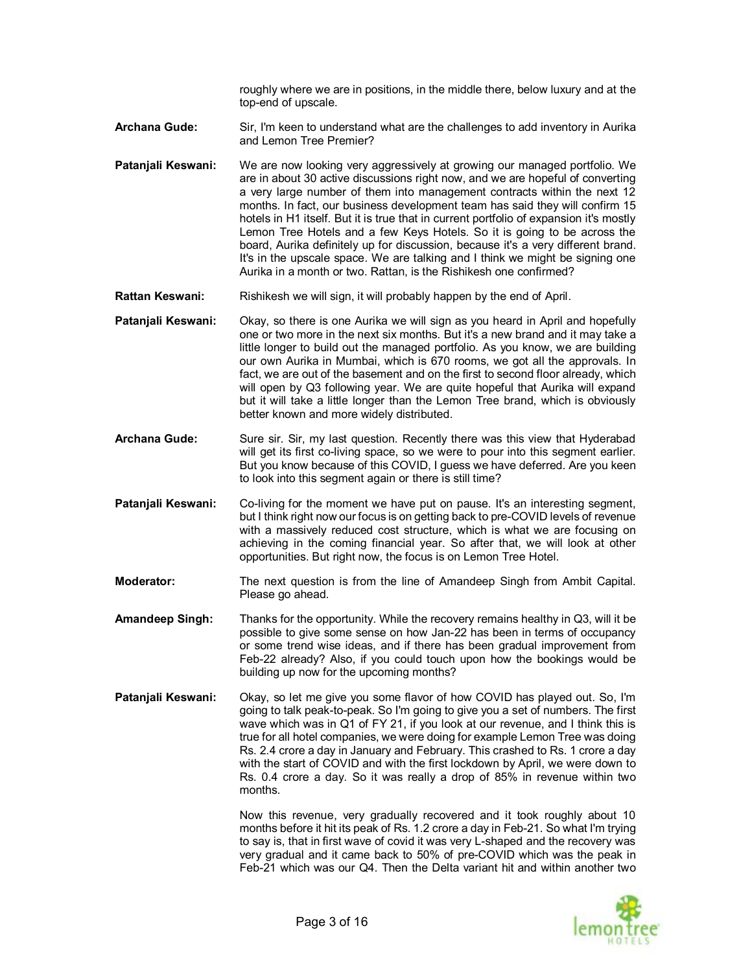roughly where we are in positions, in the middle there, below luxury and at the top-end of upscale.

- **Archana Gude:** Sir, I'm keen to understand what are the challenges to add inventory in Aurika and Lemon Tree Premier?
- **Patanjali Keswani:** We are now looking very aggressively at growing our managed portfolio. We are in about 30 active discussions right now, and we are hopeful of converting a very large number of them into management contracts within the next 12 months. In fact, our business development team has said they will confirm 15 hotels in H1 itself. But it is true that in current portfolio of expansion it's mostly Lemon Tree Hotels and a few Keys Hotels. So it is going to be across the board, Aurika definitely up for discussion, because it's a very different brand. It's in the upscale space. We are talking and I think we might be signing one Aurika in a month or two. Rattan, is the Rishikesh one confirmed?
- Rattan Keswani: Rishikesh we will sign, it will probably happen by the end of April.
- **Patanjali Keswani:** Okay, so there is one Aurika we will sign as you heard in April and hopefully one or two more in the next six months. But it's a new brand and it may take a little longer to build out the managed portfolio. As you know, we are building our own Aurika in Mumbai, which is 670 rooms, we got all the approvals. In fact, we are out of the basement and on the first to second floor already, which will open by Q3 following year. We are quite hopeful that Aurika will expand but it will take a little longer than the Lemon Tree brand, which is obviously better known and more widely distributed.
- Archana Gude: Sure sir. Sir, my last question. Recently there was this view that Hyderabad will get its first co-living space, so we were to pour into this segment earlier. But you know because of this COVID, I guess we have deferred. Are you keen to look into this segment again or there is still time?
- **Patanjali Keswani:** Co-living for the moment we have put on pause. It's an interesting segment, but I think right now our focus is on getting back to pre-COVID levels of revenue with a massively reduced cost structure, which is what we are focusing on achieving in the coming financial year. So after that, we will look at other opportunities. But right now, the focus is on Lemon Tree Hotel.
- **Moderator:** The next question is from the line of Amandeep Singh from Ambit Capital. Please go ahead.
- **Amandeep Singh:** Thanks for the opportunity. While the recovery remains healthy in Q3, will it be possible to give some sense on how Jan-22 has been in terms of occupancy or some trend wise ideas, and if there has been gradual improvement from Feb-22 already? Also, if you could touch upon how the bookings would be building up now for the upcoming months?
- **Patanjali Keswani:** Okay, so let me give you some flavor of how COVID has played out. So, I'm going to talk peak-to-peak. So I'm going to give you a set of numbers. The first wave which was in Q1 of FY 21, if you look at our revenue, and I think this is true for all hotel companies, we were doing for example Lemon Tree was doing Rs. 2.4 crore a day in January and February. This crashed to Rs. 1 crore a day with the start of COVID and with the first lockdown by April, we were down to Rs. 0.4 crore a day. So it was really a drop of 85% in revenue within two months.

Now this revenue, very gradually recovered and it took roughly about 10 months before it hit its peak of Rs. 1.2 crore a day in Feb-21. So what I'm trying to say is, that in first wave of covid it was very L-shaped and the recovery was very gradual and it came back to 50% of pre-COVID which was the peak in Feb-21 which was our Q4. Then the Delta variant hit and within another two

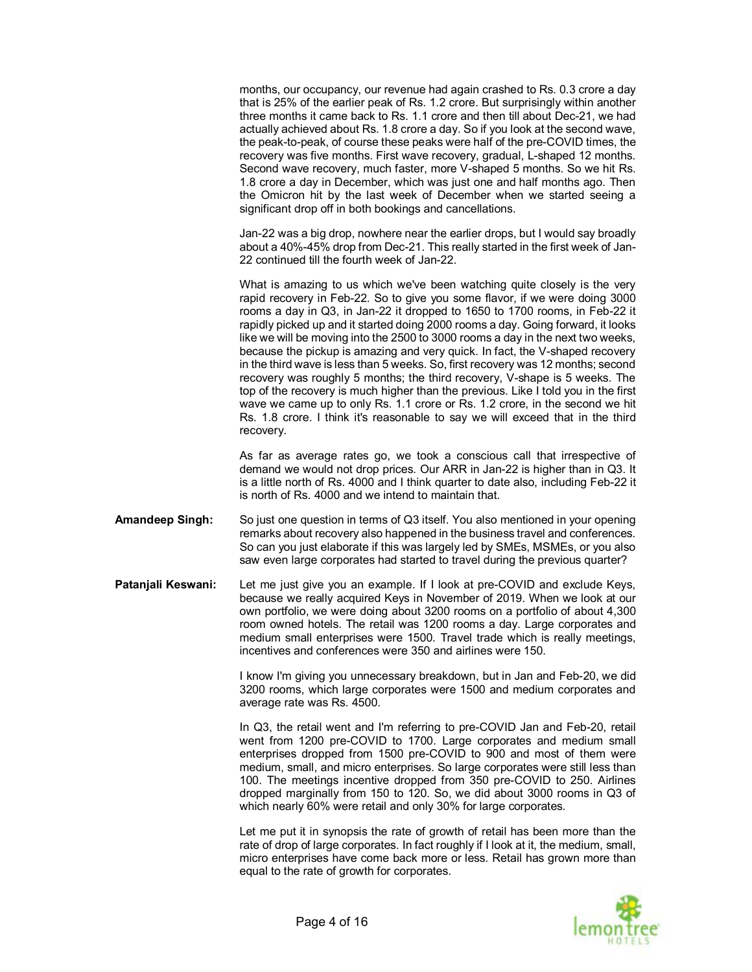months, our occupancy, our revenue had again crashed to Rs. 0.3 crore a day that is 25% of the earlier peak of Rs. 1.2 crore. But surprisingly within another three months it came back to Rs. 1.1 crore and then till about Dec-21, we had actually achieved about Rs. 1.8 crore a day. So if you look at the second wave, the peak-to-peak, of course these peaks were half of the pre-COVID times, the recovery was five months. First wave recovery, gradual, L-shaped 12 months. Second wave recovery, much faster, more V-shaped 5 months. So we hit Rs. 1.8 crore a day in December, which was just one and half months ago. Then the Omicron hit by the last week of December when we started seeing a significant drop off in both bookings and cancellations.

Jan-22 was a big drop, nowhere near the earlier drops, but I would say broadly about a 40%-45% drop from Dec-21. This really started in the first week of Jan-22 continued till the fourth week of Jan-22.

What is amazing to us which we've been watching quite closely is the very rapid recovery in Feb-22. So to give you some flavor, if we were doing 3000 rooms a day in Q3, in Jan-22 it dropped to 1650 to 1700 rooms, in Feb-22 it rapidly picked up and it started doing 2000 rooms a day. Going forward, it looks like we will be moving into the 2500 to 3000 rooms a day in the next two weeks, because the pickup is amazing and very quick. In fact, the V-shaped recovery in the third wave is less than 5 weeks. So, first recovery was 12 months; second recovery was roughly 5 months; the third recovery, V-shape is 5 weeks. The top of the recovery is much higher than the previous. Like I told you in the first wave we came up to only Rs. 1.1 crore or Rs. 1.2 crore, in the second we hit Rs. 1.8 crore. I think it's reasonable to say we will exceed that in the third recovery.

As far as average rates go, we took a conscious call that irrespective of demand we would not drop prices. Our ARR in Jan-22 is higher than in Q3. It is a little north of Rs. 4000 and I think quarter to date also, including Feb-22 it is north of Rs. 4000 and we intend to maintain that.

- **Amandeep Singh:** So just one question in terms of Q3 itself. You also mentioned in your opening remarks about recovery also happened in the business travel and conferences. So can you just elaborate if this was largely led by SMEs, MSMEs, or you also saw even large corporates had started to travel during the previous quarter?
- **Patanjali Keswani:** Let me just give you an example. If I look at pre-COVID and exclude Keys, because we really acquired Keys in November of 2019. When we look at our own portfolio, we were doing about 3200 rooms on a portfolio of about 4,300 room owned hotels. The retail was 1200 rooms a day. Large corporates and medium small enterprises were 1500. Travel trade which is really meetings, incentives and conferences were 350 and airlines were 150.

I know I'm giving you unnecessary breakdown, but in Jan and Feb-20, we did 3200 rooms, which large corporates were 1500 and medium corporates and average rate was Rs. 4500.

In Q3, the retail went and I'm referring to pre-COVID Jan and Feb-20, retail went from 1200 pre-COVID to 1700. Large corporates and medium small enterprises dropped from 1500 pre-COVID to 900 and most of them were medium, small, and micro enterprises. So large corporates were still less than 100. The meetings incentive dropped from 350 pre-COVID to 250. Airlines dropped marginally from 150 to 120. So, we did about 3000 rooms in Q3 of which nearly 60% were retail and only 30% for large corporates.

Let me put it in synopsis the rate of growth of retail has been more than the rate of drop of large corporates. In fact roughly if I look at it, the medium, small, micro enterprises have come back more or less. Retail has grown more than equal to the rate of growth for corporates.

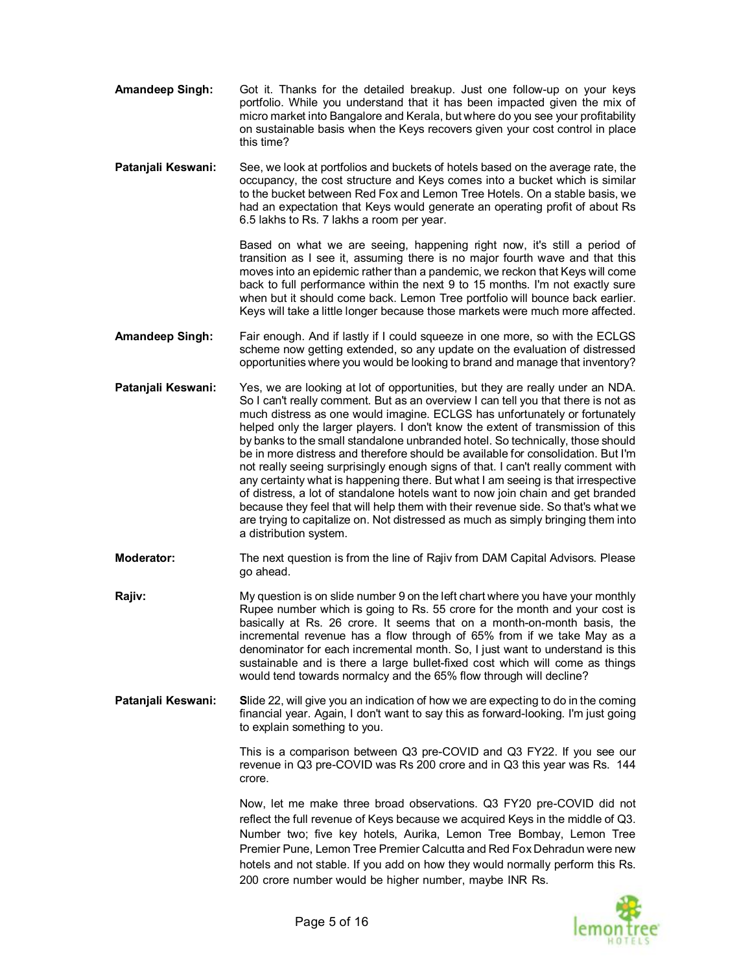- **Amandeep Singh:** Got it. Thanks for the detailed breakup. Just one follow-up on your keys portfolio. While you understand that it has been impacted given the mix of micro market into Bangalore and Kerala, but where do you see your profitability on sustainable basis when the Keys recovers given your cost control in place this time?
- **Patanjali Keswani:** See, we look at portfolios and buckets of hotels based on the average rate, the occupancy, the cost structure and Keys comes into a bucket which is similar to the bucket between Red Fox and Lemon Tree Hotels. On a stable basis, we had an expectation that Keys would generate an operating profit of about Rs 6.5 lakhs to Rs. 7 lakhs a room per year.

Based on what we are seeing, happening right now, it's still a period of transition as I see it, assuming there is no major fourth wave and that this moves into an epidemic rather than a pandemic, we reckon that Keys will come back to full performance within the next 9 to 15 months. I'm not exactly sure when but it should come back. Lemon Tree portfolio will bounce back earlier. Keys will take a little longer because those markets were much more affected.

- **Amandeep Singh:** Fair enough. And if lastly if I could squeeze in one more, so with the ECLGS scheme now getting extended, so any update on the evaluation of distressed opportunities where you would be looking to brand and manage that inventory?
- **Patanjali Keswani:** Yes, we are looking at lot of opportunities, but they are really under an NDA. So I can't really comment. But as an overview I can tell you that there is not as much distress as one would imagine. ECLGS has unfortunately or fortunately helped only the larger players. I don't know the extent of transmission of this by banks to the small standalone unbranded hotel. So technically, those should be in more distress and therefore should be available for consolidation. But I'm not really seeing surprisingly enough signs of that. I can't really comment with any certainty what is happening there. But what I am seeing is that irrespective of distress, a lot of standalone hotels want to now join chain and get branded because they feel that will help them with their revenue side. So that's what we are trying to capitalize on. Not distressed as much as simply bringing them into a distribution system.
- **Moderator:** The next question is from the line of Rajiv from DAM Capital Advisors. Please go ahead.
- **Rajiv:** My question is on slide number 9 on the left chart where you have your monthly Rupee number which is going to Rs. 55 crore for the month and your cost is basically at Rs. 26 crore. It seems that on a month-on-month basis, the incremental revenue has a flow through of 65% from if we take May as a denominator for each incremental month. So, I just want to understand is this sustainable and is there a large bullet-fixed cost which will come as things would tend towards normalcy and the 65% flow through will decline?
- **Patanjali Keswani: S**lide 22, will give you an indication of how we are expecting to do in the coming financial year. Again, I don't want to say this as forward-looking. I'm just going to explain something to you.

This is a comparison between Q3 pre-COVID and Q3 FY22. If you see our revenue in Q3 pre-COVID was Rs 200 crore and in Q3 this year was Rs. 144 crore.

Now, let me make three broad observations. Q3 FY20 pre-COVID did not reflect the full revenue of Keys because we acquired Keys in the middle of Q3. Number two; five key hotels, Aurika, Lemon Tree Bombay, Lemon Tree Premier Pune, Lemon Tree Premier Calcutta and Red Fox Dehradun were new hotels and not stable. If you add on how they would normally perform this Rs. 200 crore number would be higher number, maybe INR Rs.

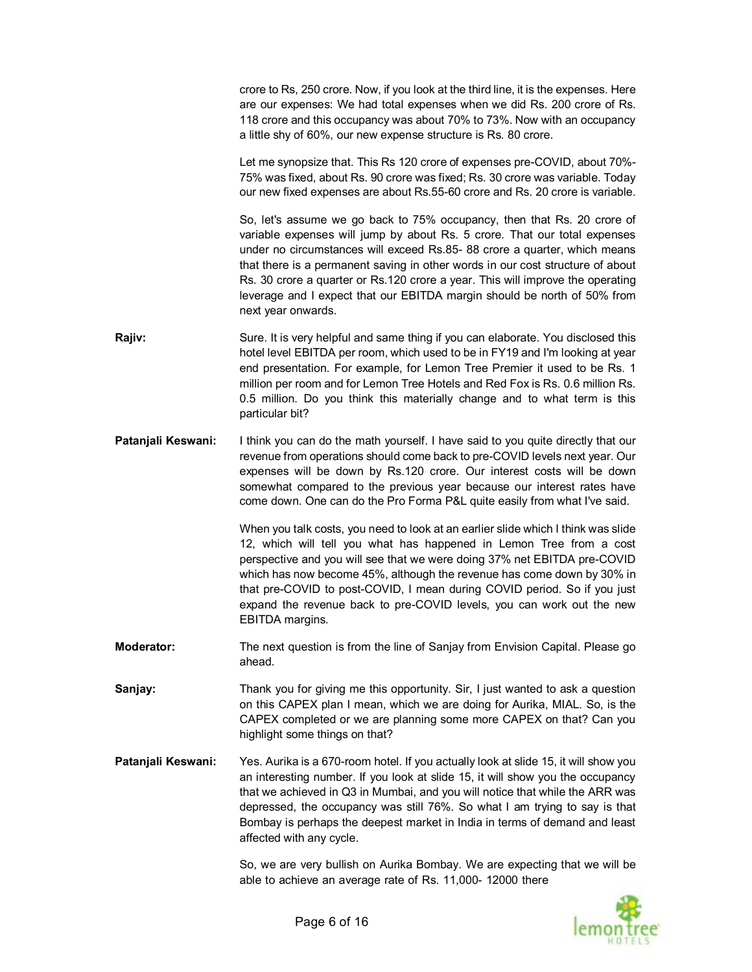crore to Rs, 250 crore. Now, if you look at the third line, it is the expenses. Here are our expenses: We had total expenses when we did Rs. 200 crore of Rs. 118 crore and this occupancy was about 70% to 73%. Now with an occupancy a little shy of 60%, our new expense structure is Rs. 80 crore. Let me synopsize that. This Rs 120 crore of expenses pre-COVID, about 70%- 75% was fixed, about Rs. 90 crore was fixed; Rs. 30 crore was variable. Today our new fixed expenses are about Rs.55-60 crore and Rs. 20 crore is variable. So, let's assume we go back to 75% occupancy, then that Rs. 20 crore of variable expenses will jump by about Rs. 5 crore. That our total expenses under no circumstances will exceed Rs.85- 88 crore a quarter, which means that there is a permanent saving in other words in our cost structure of about Rs. 30 crore a quarter or Rs.120 crore a year. This will improve the operating leverage and I expect that our EBITDA margin should be north of 50% from next year onwards. **Rajiv:** Sure. It is very helpful and same thing if you can elaborate. You disclosed this hotel level EBITDA per room, which used to be in FY19 and I'm looking at year

- end presentation. For example, for Lemon Tree Premier it used to be Rs. 1 million per room and for Lemon Tree Hotels and Red Fox is Rs. 0.6 million Rs. 0.5 million. Do you think this materially change and to what term is this particular bit?
- **Patanjali Keswani:** I think you can do the math yourself. I have said to you quite directly that our revenue from operations should come back to pre-COVID levels next year. Our expenses will be down by Rs.120 crore. Our interest costs will be down somewhat compared to the previous year because our interest rates have come down. One can do the Pro Forma P&L quite easily from what I've said.

When you talk costs, you need to look at an earlier slide which I think was slide 12, which will tell you what has happened in Lemon Tree from a cost perspective and you will see that we were doing 37% net EBITDA pre-COVID which has now become 45%, although the revenue has come down by 30% in that pre-COVID to post-COVID, I mean during COVID period. So if you just expand the revenue back to pre-COVID levels, you can work out the new EBITDA margins.

**Moderator:** The next question is from the line of Sanjay from Envision Capital. Please go ahead.

**Sanjay:** Thank you for giving me this opportunity. Sir, I just wanted to ask a question on this CAPEX plan I mean, which we are doing for Aurika, MIAL. So, is the CAPEX completed or we are planning some more CAPEX on that? Can you highlight some things on that?

**Patanjali Keswani:** Yes. Aurika is a 670-room hotel. If you actually look at slide 15, it will show you an interesting number. If you look at slide 15, it will show you the occupancy that we achieved in Q3 in Mumbai, and you will notice that while the ARR was depressed, the occupancy was still 76%. So what I am trying to say is that Bombay is perhaps the deepest market in India in terms of demand and least affected with any cycle.

> So, we are very bullish on Aurika Bombay. We are expecting that we will be able to achieve an average rate of Rs. 11,000- 12000 there

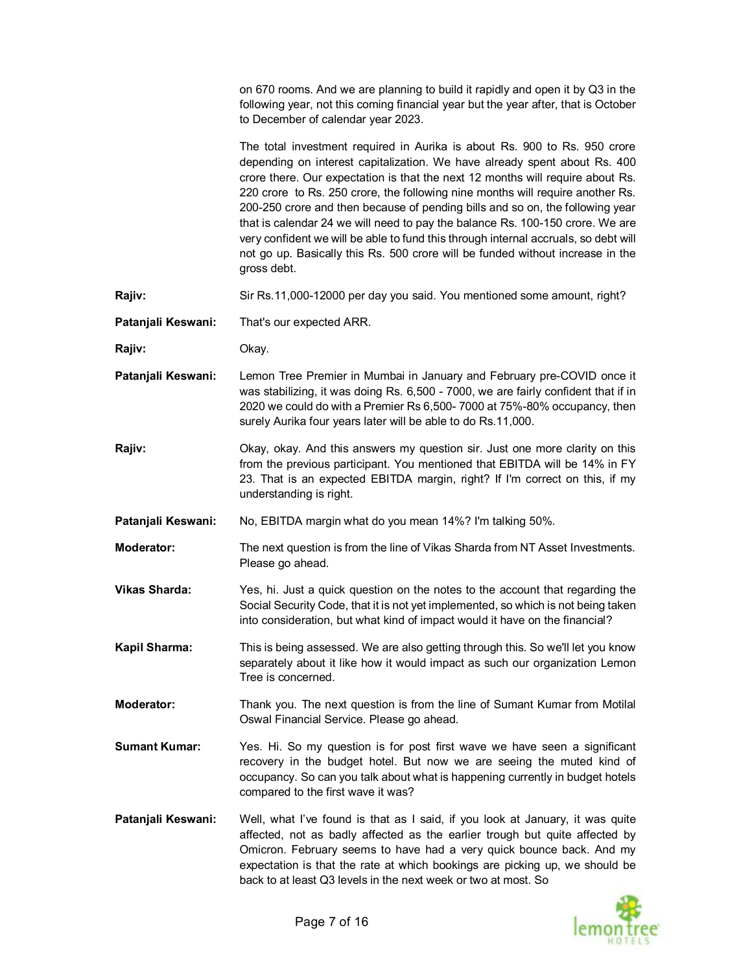on 670 rooms. And we are planning to build it rapidly and open it by Q3 in the following year, not this coming financial year but the year after, that is October to December of calendar year 2023.

The total investment required in Aurika is about Rs. 900 to Rs. 950 crore depending on interest capitalization. We have already spent about Rs. 400 crore there. Our expectation is that the next 12 months will require about Rs. 220 crore to Rs. 250 crore, the following nine months will require another Rs. 200-250 crore and then because of pending bills and so on, the following year that is calendar 24 we will need to pay the balance Rs. 100-150 crore. We are very confident we will be able to fund this through internal accruals, so debt will not go up. Basically this Rs. 500 crore will be funded without increase in the gross debt.

**Rajiv:** Sir Rs.11,000-12000 per day you said. You mentioned some amount, right?

**Patanjali Keswani:** That's our expected ARR.

**Rajiv:** Okay.

- **Patanjali Keswani:** Lemon Tree Premier in Mumbai in January and February pre-COVID once it was stabilizing, it was doing Rs. 6,500 - 7000, we are fairly confident that if in 2020 we could do with a Premier Rs 6,500- 7000 at 75%-80% occupancy, then surely Aurika four years later will be able to do Rs.11,000.
- **Rajiv:** Okay, okay. And this answers my question sir. Just one more clarity on this from the previous participant. You mentioned that EBITDA will be 14% in FY 23. That is an expected EBITDA margin, right? If I'm correct on this, if my understanding is right.

**Patanjali Keswani:** No, EBITDA margin what do you mean 14%? I'm talking 50%.

**Moderator:** The next question is from the line of Vikas Sharda from NT Asset Investments. Please go ahead.

- **Vikas Sharda:** Yes, hi. Just a quick question on the notes to the account that regarding the Social Security Code, that it is not yet implemented, so which is not being taken into consideration, but what kind of impact would it have on the financial?
- **Kapil Sharma:** This is being assessed. We are also getting through this. So we'll let you know separately about it like how it would impact as such our organization Lemon Tree is concerned.
- **Moderator:** Thank you. The next question is from the line of Sumant Kumar from Motilal Oswal Financial Service. Please go ahead.
- **Sumant Kumar:** Yes. Hi. So my question is for post first wave we have seen a significant recovery in the budget hotel. But now we are seeing the muted kind of occupancy. So can you talk about what is happening currently in budget hotels compared to the first wave it was?
- **Patanjali Keswani:** Well, what I've found is that as I said, if you look at January, it was quite affected, not as badly affected as the earlier trough but quite affected by Omicron. February seems to have had a very quick bounce back. And my expectation is that the rate at which bookings are picking up, we should be back to at least Q3 levels in the next week or two at most. So

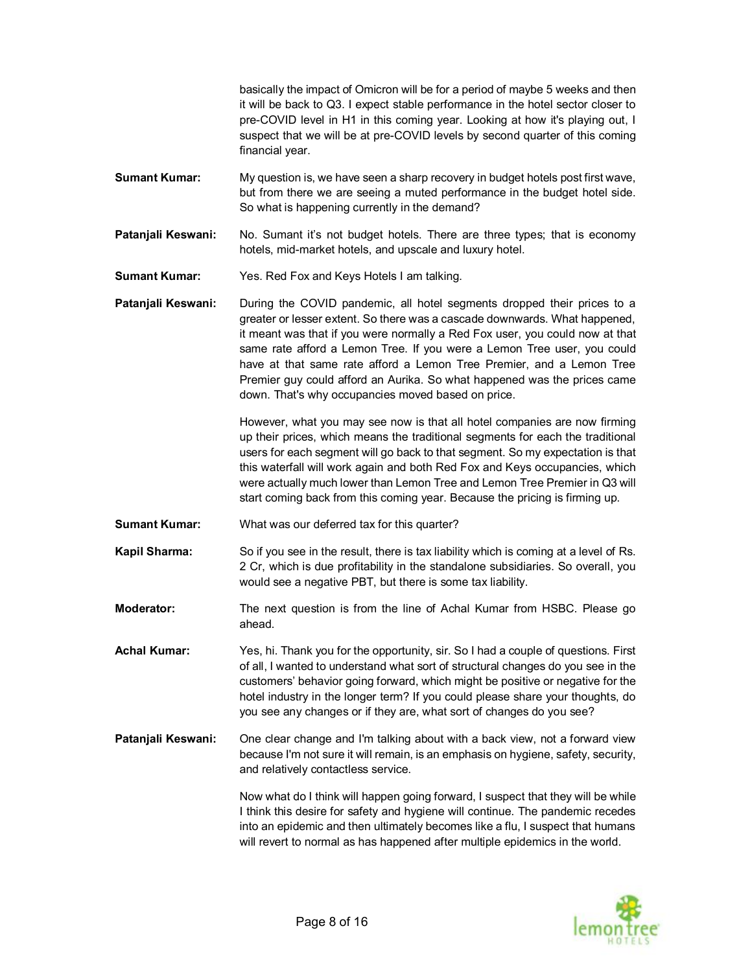basically the impact of Omicron will be for a period of maybe 5 weeks and then it will be back to Q3. I expect stable performance in the hotel sector closer to pre-COVID level in H1 in this coming year. Looking at how it's playing out, I suspect that we will be at pre-COVID levels by second quarter of this coming financial year.

- **Sumant Kumar:** My question is, we have seen a sharp recovery in budget hotels post first wave, but from there we are seeing a muted performance in the budget hotel side. So what is happening currently in the demand?
- **Patanjali Keswani:** No. Sumant it's not budget hotels. There are three types; that is economy hotels, mid-market hotels, and upscale and luxury hotel.
- **Sumant Kumar:** Yes. Red Fox and Keys Hotels I am talking.
- **Patanjali Keswani:** During the COVID pandemic, all hotel segments dropped their prices to a greater or lesser extent. So there was a cascade downwards. What happened, it meant was that if you were normally a Red Fox user, you could now at that same rate afford a Lemon Tree. If you were a Lemon Tree user, you could have at that same rate afford a Lemon Tree Premier, and a Lemon Tree Premier guy could afford an Aurika. So what happened was the prices came down. That's why occupancies moved based on price.

However, what you may see now is that all hotel companies are now firming up their prices, which means the traditional segments for each the traditional users for each segment will go back to that segment. So my expectation is that this waterfall will work again and both Red Fox and Keys occupancies, which were actually much lower than Lemon Tree and Lemon Tree Premier in Q3 will start coming back from this coming year. Because the pricing is firming up.

- **Sumant Kumar:** What was our deferred tax for this quarter?
- **Kapil Sharma:** So if you see in the result, there is tax liability which is coming at a level of Rs. 2 Cr, which is due profitability in the standalone subsidiaries. So overall, you would see a negative PBT, but there is some tax liability.
- **Moderator:** The next question is from the line of Achal Kumar from HSBC. Please go ahead.

**Achal Kumar:** Yes, hi. Thank you for the opportunity, sir. So I had a couple of questions. First of all, I wanted to understand what sort of structural changes do you see in the customers' behavior going forward, which might be positive or negative for the hotel industry in the longer term? If you could please share your thoughts, do you see any changes or if they are, what sort of changes do you see?

**Patanjali Keswani:** One clear change and I'm talking about with a back view, not a forward view because I'm not sure it will remain, is an emphasis on hygiene, safety, security, and relatively contactless service.

> Now what do I think will happen going forward, I suspect that they will be while I think this desire for safety and hygiene will continue. The pandemic recedes into an epidemic and then ultimately becomes like a flu, I suspect that humans will revert to normal as has happened after multiple epidemics in the world.

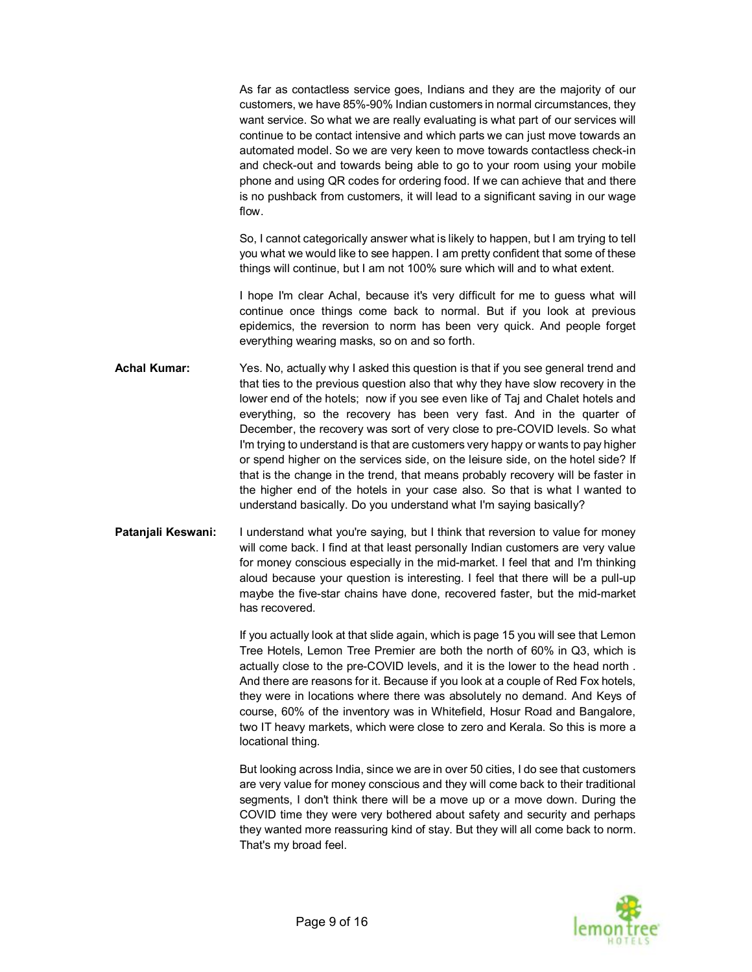As far as contactless service goes, Indians and they are the majority of our customers, we have 85%-90% Indian customers in normal circumstances, they want service. So what we are really evaluating is what part of our services will continue to be contact intensive and which parts we can just move towards an automated model. So we are very keen to move towards contactless check-in and check-out and towards being able to go to your room using your mobile phone and using QR codes for ordering food. If we can achieve that and there is no pushback from customers, it will lead to a significant saving in our wage flow.

So, I cannot categorically answer what is likely to happen, but I am trying to tell you what we would like to see happen. I am pretty confident that some of these things will continue, but I am not 100% sure which will and to what extent.

I hope I'm clear Achal, because it's very difficult for me to guess what will continue once things come back to normal. But if you look at previous epidemics, the reversion to norm has been very quick. And people forget everything wearing masks, so on and so forth.

- **Achal Kumar:** Yes. No, actually why I asked this question is that if you see general trend and that ties to the previous question also that why they have slow recovery in the lower end of the hotels; now if you see even like of Taj and Chalet hotels and everything, so the recovery has been very fast. And in the quarter of December, the recovery was sort of very close to pre-COVID levels. So what I'm trying to understand is that are customers very happy or wants to pay higher or spend higher on the services side, on the leisure side, on the hotel side? If that is the change in the trend, that means probably recovery will be faster in the higher end of the hotels in your case also. So that is what I wanted to understand basically. Do you understand what I'm saying basically?
- Patanjali Keswani: I understand what you're saying, but I think that reversion to value for money will come back. I find at that least personally Indian customers are very value for money conscious especially in the mid-market. I feel that and I'm thinking aloud because your question is interesting. I feel that there will be a pull-up maybe the five-star chains have done, recovered faster, but the mid-market has recovered.

If you actually look at that slide again, which is page 15 you will see that Lemon Tree Hotels, Lemon Tree Premier are both the north of 60% in Q3, which is actually close to the pre-COVID levels, and it is the lower to the head north . And there are reasons for it. Because if you look at a couple of Red Fox hotels, they were in locations where there was absolutely no demand. And Keys of course, 60% of the inventory was in Whitefield, Hosur Road and Bangalore, two IT heavy markets, which were close to zero and Kerala. So this is more a locational thing.

But looking across India, since we are in over 50 cities, I do see that customers are very value for money conscious and they will come back to their traditional segments, I don't think there will be a move up or a move down. During the COVID time they were very bothered about safety and security and perhaps they wanted more reassuring kind of stay. But they will all come back to norm. That's my broad feel.

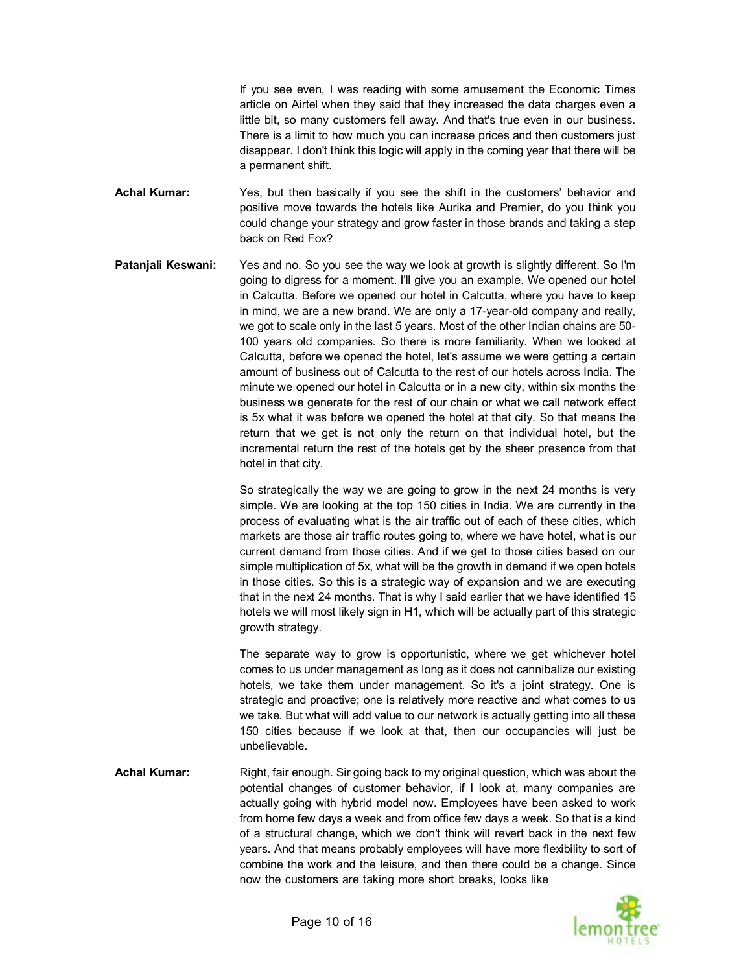If you see even, I was reading with some amusement the Economic Times article on Airtel when they said that they increased the data charges even a little bit, so many customers fell away. And that's true even in our business. There is a limit to how much you can increase prices and then customers just disappear. I don't think this logic will apply in the coming year that there will be a permanent shift.

- **Achal Kumar:** Yes, but then basically if you see the shift in the customers' behavior and positive move towards the hotels like Aurika and Premier, do you think you could change your strategy and grow faster in those brands and taking a step back on Red Fox?
- **Patanjali Keswani:** Yes and no. So you see the way we look at growth is slightly different. So I'm going to digress for a moment. I'll give you an example. We opened our hotel in Calcutta. Before we opened our hotel in Calcutta, where you have to keep in mind, we are a new brand. We are only a 17-year-old company and really, we got to scale only in the last 5 years. Most of the other Indian chains are 50- 100 years old companies. So there is more familiarity. When we looked at Calcutta, before we opened the hotel, let's assume we were getting a certain amount of business out of Calcutta to the rest of our hotels across India. The minute we opened our hotel in Calcutta or in a new city, within six months the business we generate for the rest of our chain or what we call network effect is 5x what it was before we opened the hotel at that city. So that means the return that we get is not only the return on that individual hotel, but the incremental return the rest of the hotels get by the sheer presence from that hotel in that city.

So strategically the way we are going to grow in the next 24 months is very simple. We are looking at the top 150 cities in India. We are currently in the process of evaluating what is the air traffic out of each of these cities, which markets are those air traffic routes going to, where we have hotel, what is our current demand from those cities. And if we get to those cities based on our simple multiplication of 5x, what will be the growth in demand if we open hotels in those cities. So this is a strategic way of expansion and we are executing that in the next 24 months. That is why I said earlier that we have identified 15 hotels we will most likely sign in H1, which will be actually part of this strategic growth strategy.

The separate way to grow is opportunistic, where we get whichever hotel comes to us under management as long as it does not cannibalize our existing hotels, we take them under management. So it's a joint strategy. One is strategic and proactive; one is relatively more reactive and what comes to us we take. But what will add value to our network is actually getting into all these 150 cities because if we look at that, then our occupancies will just be unbelievable.

Achal Kumar: Right, fair enough. Sir going back to my original question, which was about the potential changes of customer behavior, if I look at, many companies are actually going with hybrid model now. Employees have been asked to work from home few days a week and from office few days a week. So that is a kind of a structural change, which we don't think will revert back in the next few years. And that means probably employees will have more flexibility to sort of combine the work and the leisure, and then there could be a change. Since now the customers are taking more short breaks, looks like

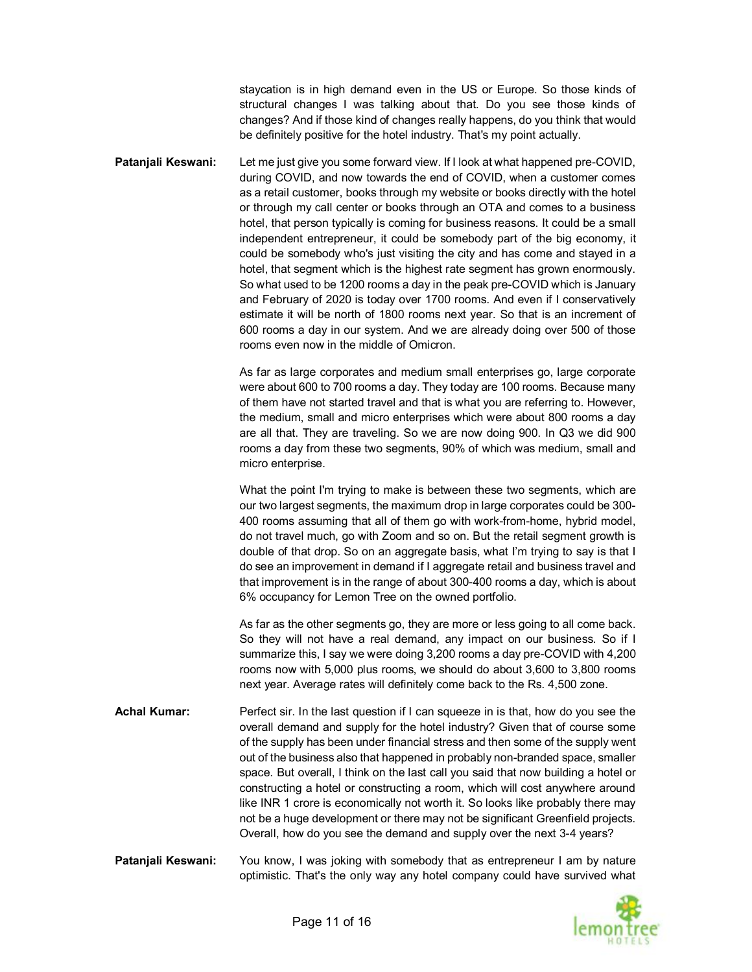staycation is in high demand even in the US or Europe. So those kinds of structural changes I was talking about that. Do you see those kinds of changes? And if those kind of changes really happens, do you think that would be definitely positive for the hotel industry. That's my point actually.

**Patanjali Keswani:** Let me just give you some forward view. If I look at what happened pre-COVID, during COVID, and now towards the end of COVID, when a customer comes as a retail customer, books through my website or books directly with the hotel or through my call center or books through an OTA and comes to a business hotel, that person typically is coming for business reasons. It could be a small independent entrepreneur, it could be somebody part of the big economy, it could be somebody who's just visiting the city and has come and stayed in a hotel, that segment which is the highest rate segment has grown enormously. So what used to be 1200 rooms a day in the peak pre-COVID which is January and February of 2020 is today over 1700 rooms. And even if I conservatively estimate it will be north of 1800 rooms next year. So that is an increment of 600 rooms a day in our system. And we are already doing over 500 of those rooms even now in the middle of Omicron.

> As far as large corporates and medium small enterprises go, large corporate were about 600 to 700 rooms a day. They today are 100 rooms. Because many of them have not started travel and that is what you are referring to. However, the medium, small and micro enterprises which were about 800 rooms a day are all that. They are traveling. So we are now doing 900. In Q3 we did 900 rooms a day from these two segments, 90% of which was medium, small and micro enterprise.

> What the point I'm trying to make is between these two segments, which are our two largest segments, the maximum drop in large corporates could be 300- 400 rooms assuming that all of them go with work-from-home, hybrid model, do not travel much, go with Zoom and so on. But the retail segment growth is double of that drop. So on an aggregate basis, what I'm trying to say is that I do see an improvement in demand if I aggregate retail and business travel and that improvement is in the range of about 300-400 rooms a day, which is about 6% occupancy for Lemon Tree on the owned portfolio.

> As far as the other segments go, they are more or less going to all come back. So they will not have a real demand, any impact on our business. So if I summarize this, I say we were doing 3,200 rooms a day pre-COVID with 4,200 rooms now with 5,000 plus rooms, we should do about 3,600 to 3,800 rooms next year. Average rates will definitely come back to the Rs. 4,500 zone.

- **Achal Kumar:** Perfect sir. In the last question if I can squeeze in is that, how do you see the overall demand and supply for the hotel industry? Given that of course some of the supply has been under financial stress and then some of the supply went out of the business also that happened in probably non-branded space, smaller space. But overall, I think on the last call you said that now building a hotel or constructing a hotel or constructing a room, which will cost anywhere around like INR 1 crore is economically not worth it. So looks like probably there may not be a huge development or there may not be significant Greenfield projects. Overall, how do you see the demand and supply over the next 3-4 years?
- **Patanjali Keswani:** You know, I was joking with somebody that as entrepreneur I am by nature optimistic. That's the only way any hotel company could have survived what

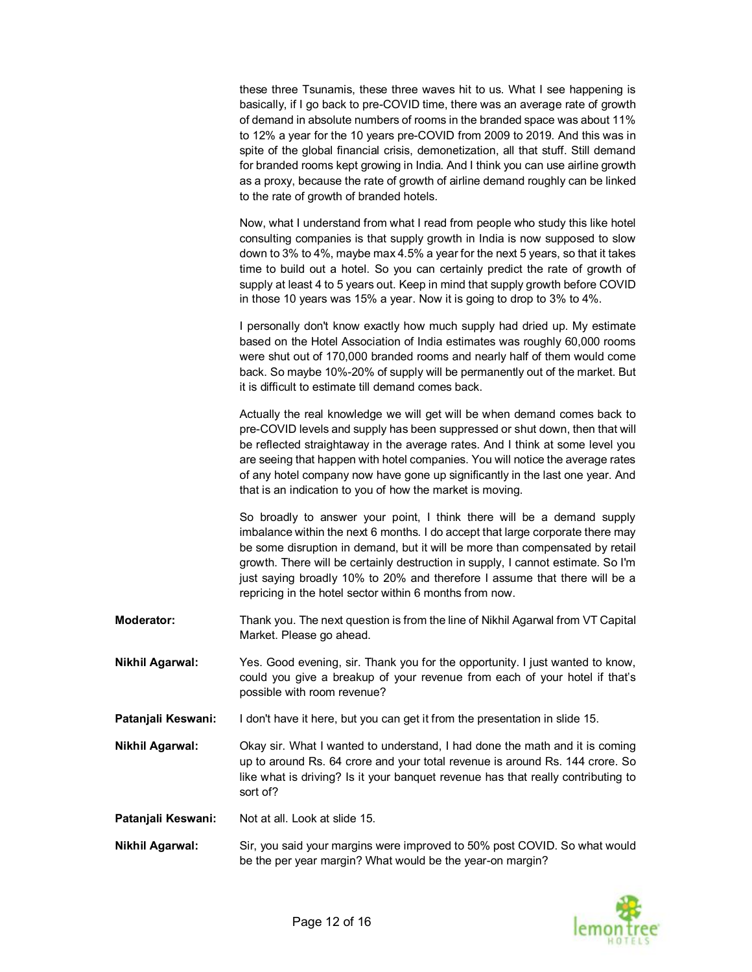|                        | these three Tsunamis, these three waves hit to us. What I see happening is<br>basically, if I go back to pre-COVID time, there was an average rate of growth<br>of demand in absolute numbers of rooms in the branded space was about 11%<br>to 12% a year for the 10 years pre-COVID from 2009 to 2019. And this was in<br>spite of the global financial crisis, demonetization, all that stuff. Still demand<br>for branded rooms kept growing in India. And I think you can use airline growth<br>as a proxy, because the rate of growth of airline demand roughly can be linked<br>to the rate of growth of branded hotels. |
|------------------------|---------------------------------------------------------------------------------------------------------------------------------------------------------------------------------------------------------------------------------------------------------------------------------------------------------------------------------------------------------------------------------------------------------------------------------------------------------------------------------------------------------------------------------------------------------------------------------------------------------------------------------|
|                        | Now, what I understand from what I read from people who study this like hotel<br>consulting companies is that supply growth in India is now supposed to slow<br>down to 3% to 4%, maybe max 4.5% a year for the next 5 years, so that it takes<br>time to build out a hotel. So you can certainly predict the rate of growth of<br>supply at least 4 to 5 years out. Keep in mind that supply growth before COVID<br>in those 10 years was 15% a year. Now it is going to drop to 3% to 4%.                                                                                                                                     |
|                        | I personally don't know exactly how much supply had dried up. My estimate<br>based on the Hotel Association of India estimates was roughly 60,000 rooms<br>were shut out of 170,000 branded rooms and nearly half of them would come<br>back. So maybe 10%-20% of supply will be permanently out of the market. But<br>it is difficult to estimate till demand comes back.                                                                                                                                                                                                                                                      |
|                        | Actually the real knowledge we will get will be when demand comes back to<br>pre-COVID levels and supply has been suppressed or shut down, then that will<br>be reflected straightaway in the average rates. And I think at some level you<br>are seeing that happen with hotel companies. You will notice the average rates<br>of any hotel company now have gone up significantly in the last one year. And<br>that is an indication to you of how the market is moving.                                                                                                                                                      |
|                        | So broadly to answer your point, I think there will be a demand supply<br>imbalance within the next 6 months. I do accept that large corporate there may<br>be some disruption in demand, but it will be more than compensated by retail<br>growth. There will be certainly destruction in supply, I cannot estimate. So I'm<br>just saying broadly 10% to 20% and therefore I assume that there will be a<br>repricing in the hotel sector within 6 months from now.                                                                                                                                                           |
| <b>Moderator:</b>      | Thank you. The next question is from the line of Nikhil Agarwal from VT Capital<br>Market. Please go ahead.                                                                                                                                                                                                                                                                                                                                                                                                                                                                                                                     |
| <b>Nikhil Agarwal:</b> | Yes. Good evening, sir. Thank you for the opportunity. I just wanted to know,<br>could you give a breakup of your revenue from each of your hotel if that's<br>possible with room revenue?                                                                                                                                                                                                                                                                                                                                                                                                                                      |
| Patanjali Keswani:     | I don't have it here, but you can get it from the presentation in slide 15.                                                                                                                                                                                                                                                                                                                                                                                                                                                                                                                                                     |
| Nikhil Agarwal:        | Okay sir. What I wanted to understand, I had done the math and it is coming<br>up to around Rs. 64 crore and your total revenue is around Rs. 144 crore. So<br>like what is driving? Is it your banquet revenue has that really contributing to<br>sort of?                                                                                                                                                                                                                                                                                                                                                                     |
| Patanjali Keswani:     | Not at all. Look at slide 15.                                                                                                                                                                                                                                                                                                                                                                                                                                                                                                                                                                                                   |
| <b>Nikhil Agarwal:</b> | Sir, you said your margins were improved to 50% post COVID. So what would<br>be the per year margin? What would be the year-on margin?                                                                                                                                                                                                                                                                                                                                                                                                                                                                                          |

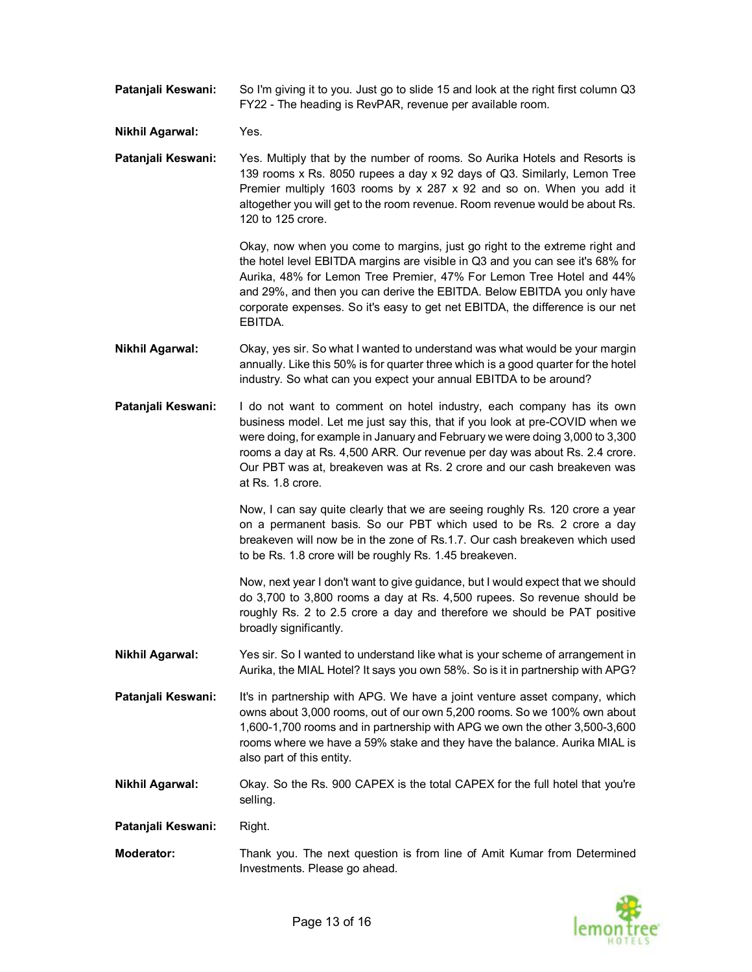**Patanjali Keswani:** So I'm giving it to you. Just go to slide 15 and look at the right first column Q3 FY22 - The heading is RevPAR, revenue per available room.

**Nikhil Agarwal:** Yes.

**Patanjali Keswani:** Yes. Multiply that by the number of rooms. So Aurika Hotels and Resorts is 139 rooms x Rs. 8050 rupees a day x 92 days of Q3. Similarly, Lemon Tree Premier multiply 1603 rooms by  $x$  287  $x$  92 and so on. When you add it altogether you will get to the room revenue. Room revenue would be about Rs. 120 to 125 crore.

> Okay, now when you come to margins, just go right to the extreme right and the hotel level EBITDA margins are visible in Q3 and you can see it's 68% for Aurika, 48% for Lemon Tree Premier, 47% For Lemon Tree Hotel and 44% and 29%, and then you can derive the EBITDA. Below EBITDA you only have corporate expenses. So it's easy to get net EBITDA, the difference is our net EBITDA.

**Nikhil Agarwal:** Okay, yes sir. So what I wanted to understand was what would be your margin annually. Like this 50% is for quarter three which is a good quarter for the hotel industry. So what can you expect your annual EBITDA to be around?

**Patanjali Keswani:** I do not want to comment on hotel industry, each company has its own business model. Let me just say this, that if you look at pre-COVID when we were doing, for example in January and February we were doing 3,000 to 3,300 rooms a day at Rs. 4,500 ARR. Our revenue per day was about Rs. 2.4 crore. Our PBT was at, breakeven was at Rs. 2 crore and our cash breakeven was at Rs. 1.8 crore.

> Now, I can say quite clearly that we are seeing roughly Rs. 120 crore a year on a permanent basis. So our PBT which used to be Rs. 2 crore a day breakeven will now be in the zone of Rs.1.7. Our cash breakeven which used to be Rs. 1.8 crore will be roughly Rs. 1.45 breakeven.

> Now, next year I don't want to give guidance, but I would expect that we should do 3,700 to 3,800 rooms a day at Rs. 4,500 rupees. So revenue should be roughly Rs. 2 to 2.5 crore a day and therefore we should be PAT positive broadly significantly.

- **Nikhil Agarwal:** Yes sir. So I wanted to understand like what is your scheme of arrangement in Aurika, the MIAL Hotel? It says you own 58%. So is it in partnership with APG?
- **Patanjali Keswani:** It's in partnership with APG. We have a joint venture asset company, which owns about 3,000 rooms, out of our own 5,200 rooms. So we 100% own about 1,600-1,700 rooms and in partnership with APG we own the other 3,500-3,600 rooms where we have a 59% stake and they have the balance. Aurika MIAL is also part of this entity.
- **Nikhil Agarwal:** Okay. So the Rs. 900 CAPEX is the total CAPEX for the full hotel that you're selling.

**Patanjali Keswani:** Right.

**Moderator:** Thank you. The next question is from line of Amit Kumar from Determined Investments. Please go ahead.

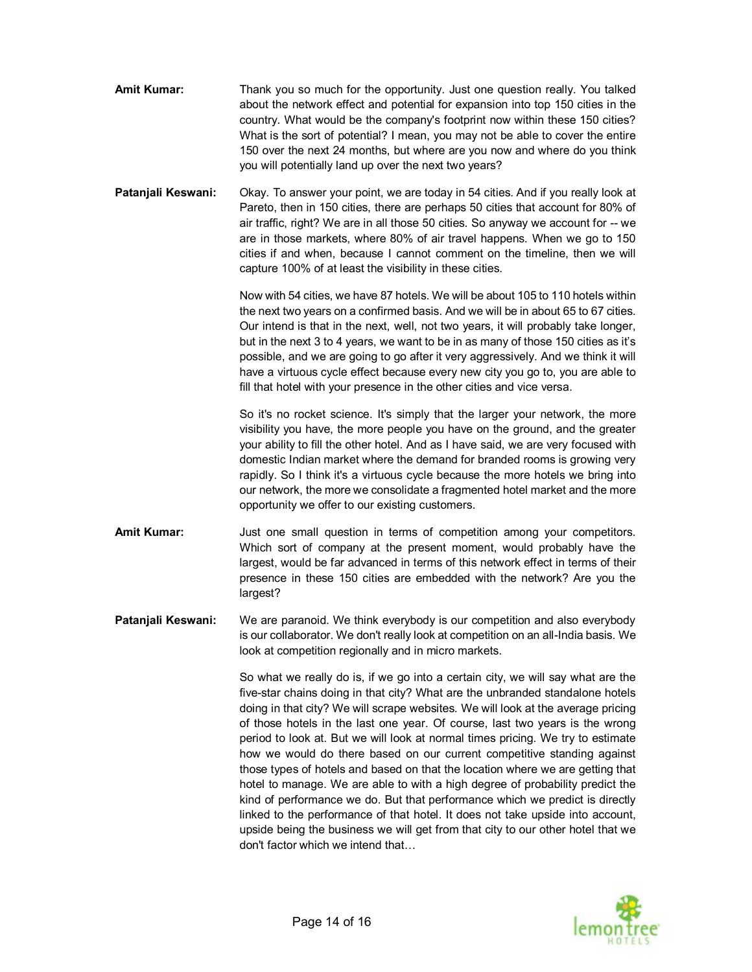- **Amit Kumar:** Thank you so much for the opportunity. Just one question really. You talked about the network effect and potential for expansion into top 150 cities in the country. What would be the company's footprint now within these 150 cities? What is the sort of potential? I mean, you may not be able to cover the entire 150 over the next 24 months, but where are you now and where do you think you will potentially land up over the next two years?
- **Patanjali Keswani:** Okay. To answer your point, we are today in 54 cities. And if you really look at Pareto, then in 150 cities, there are perhaps 50 cities that account for 80% of air traffic, right? We are in all those 50 cities. So anyway we account for -- we are in those markets, where 80% of air travel happens. When we go to 150 cities if and when, because I cannot comment on the timeline, then we will capture 100% of at least the visibility in these cities.

Now with 54 cities, we have 87 hotels. We will be about 105 to 110 hotels within the next two years on a confirmed basis. And we will be in about 65 to 67 cities. Our intend is that in the next, well, not two years, it will probably take longer, but in the next 3 to 4 years, we want to be in as many of those 150 cities as it's possible, and we are going to go after it very aggressively. And we think it will have a virtuous cycle effect because every new city you go to, you are able to fill that hotel with your presence in the other cities and vice versa.

So it's no rocket science. It's simply that the larger your network, the more visibility you have, the more people you have on the ground, and the greater your ability to fill the other hotel. And as I have said, we are very focused with domestic Indian market where the demand for branded rooms is growing very rapidly. So I think it's a virtuous cycle because the more hotels we bring into our network, the more we consolidate a fragmented hotel market and the more opportunity we offer to our existing customers.

- **Amit Kumar:** Just one small question in terms of competition among your competitors. Which sort of company at the present moment, would probably have the largest, would be far advanced in terms of this network effect in terms of their presence in these 150 cities are embedded with the network? Are you the largest?
- **Patanjali Keswani:** We are paranoid. We think everybody is our competition and also everybody is our collaborator. We don't really look at competition on an all-India basis. We look at competition regionally and in micro markets.

So what we really do is, if we go into a certain city, we will say what are the five-star chains doing in that city? What are the unbranded standalone hotels doing in that city? We will scrape websites. We will look at the average pricing of those hotels in the last one year. Of course, last two years is the wrong period to look at. But we will look at normal times pricing. We try to estimate how we would do there based on our current competitive standing against those types of hotels and based on that the location where we are getting that hotel to manage. We are able to with a high degree of probability predict the kind of performance we do. But that performance which we predict is directly linked to the performance of that hotel. It does not take upside into account, upside being the business we will get from that city to our other hotel that we don't factor which we intend that…

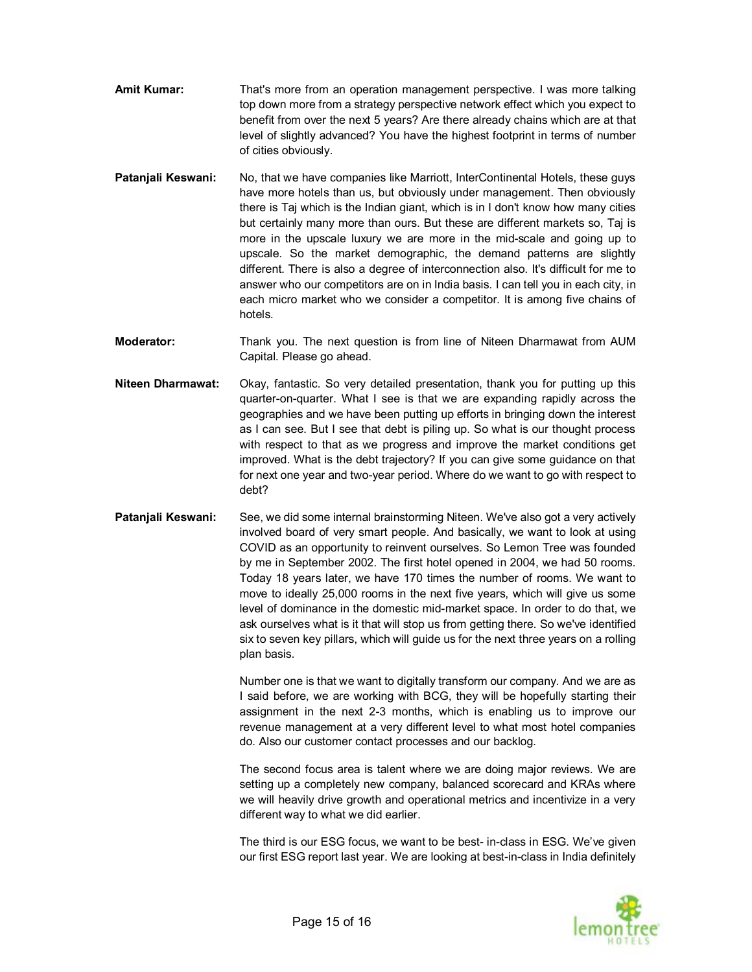- **Amit Kumar:** That's more from an operation management perspective. I was more talking top down more from a strategy perspective network effect which you expect to benefit from over the next 5 years? Are there already chains which are at that level of slightly advanced? You have the highest footprint in terms of number of cities obviously.
- **Patanjali Keswani:** No, that we have companies like Marriott, InterContinental Hotels, these guys have more hotels than us, but obviously under management. Then obviously there is Taj which is the Indian giant, which is in I don't know how many cities but certainly many more than ours. But these are different markets so, Taj is more in the upscale luxury we are more in the mid-scale and going up to upscale. So the market demographic, the demand patterns are slightly different. There is also a degree of interconnection also. It's difficult for me to answer who our competitors are on in India basis. I can tell you in each city, in each micro market who we consider a competitor. It is among five chains of hotels.
- **Moderator:** Thank you. The next question is from line of Niteen Dharmawat from AUM Capital. Please go ahead.
- **Niteen Dharmawat:** Okay, fantastic. So very detailed presentation, thank you for putting up this quarter-on-quarter. What I see is that we are expanding rapidly across the geographies and we have been putting up efforts in bringing down the interest as I can see. But I see that debt is piling up. So what is our thought process with respect to that as we progress and improve the market conditions get improved. What is the debt trajectory? If you can give some guidance on that for next one year and two-year period. Where do we want to go with respect to debt?
- **Patanjali Keswani:** See, we did some internal brainstorming Niteen. We've also got a very actively involved board of very smart people. And basically, we want to look at using COVID as an opportunity to reinvent ourselves. So Lemon Tree was founded by me in September 2002. The first hotel opened in 2004, we had 50 rooms. Today 18 years later, we have 170 times the number of rooms. We want to move to ideally 25,000 rooms in the next five years, which will give us some level of dominance in the domestic mid-market space. In order to do that, we ask ourselves what is it that will stop us from getting there. So we've identified six to seven key pillars, which will guide us for the next three years on a rolling plan basis.

Number one is that we want to digitally transform our company. And we are as I said before, we are working with BCG, they will be hopefully starting their assignment in the next 2-3 months, which is enabling us to improve our revenue management at a very different level to what most hotel companies do. Also our customer contact processes and our backlog.

The second focus area is talent where we are doing major reviews. We are setting up a completely new company, balanced scorecard and KRAs where we will heavily drive growth and operational metrics and incentivize in a very different way to what we did earlier.

The third is our ESG focus, we want to be best- in-class in ESG. We've given our first ESG report last year. We are looking at best-in-class in India definitely